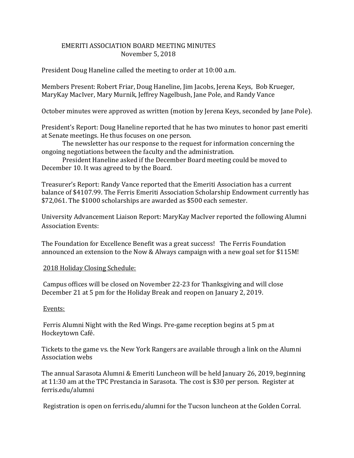## EMERITI ASSOCIATION BOARD MEETING MINUTES November 5, 2018

President Doug Haneline called the meeting to order at 10:00 a.m.

Members Present: Robert Friar, Doug Haneline, Jim Jacobs, Jerena Keys, Bob Krueger, MaryKay MacIver, Mary Murnik, Jeffrey Nagelbush, Jane Pole, and Randy Vance

October minutes were approved as written (motion by Jerena Keys, seconded by Jane Pole).

President's Report: Doug Haneline reported that he has two minutes to honor past emeriti at Senate meetings. He thus focuses on one person.

The newsletter has our response to the request for information concerning the ongoing negotiations between the faculty and the administration.

President Haneline asked if the December Board meeting could be moved to December 10. It was agreed to by the Board.

Treasurer's Report: Randy Vance reported that the Emeriti Association has a current balance of \$4107.99. The Ferris Emeriti Association Scholarship Endowment currently has \$72,061. The \$1000 scholarships are awarded as \$500 each semester.

University Advancement Liaison Report: MaryKay MacIver reported the following Alumni Association Events:

The Foundation for Excellence Benefit was a great success! The Ferris Foundation announced an extension to the Now & Always campaign with a new goal set for \$115M!

## 2018 Holiday Closing Schedule:

Campus offices will be closed on November 22-23 for Thanksgiving and will close December 21 at 5 pm for the Holiday Break and reopen on January 2, 2019.

## Events:

Ferris Alumni Night with the Red Wings. Pre-game reception begins at 5 pm at Hockeytown Café.

Tickets to the game vs. the New York Rangers are available through a link on the Alumni Association webs

The annual Sarasota Alumni & Emeriti Luncheon will be held January 26, 2019, beginning at 11:30 am at the TPC Prestancia in Sarasota. The cost is \$30 per person. Register at ferris.edu/alumni

Registration is open on ferris.edu/alumni for the Tucson luncheon at the Golden Corral.